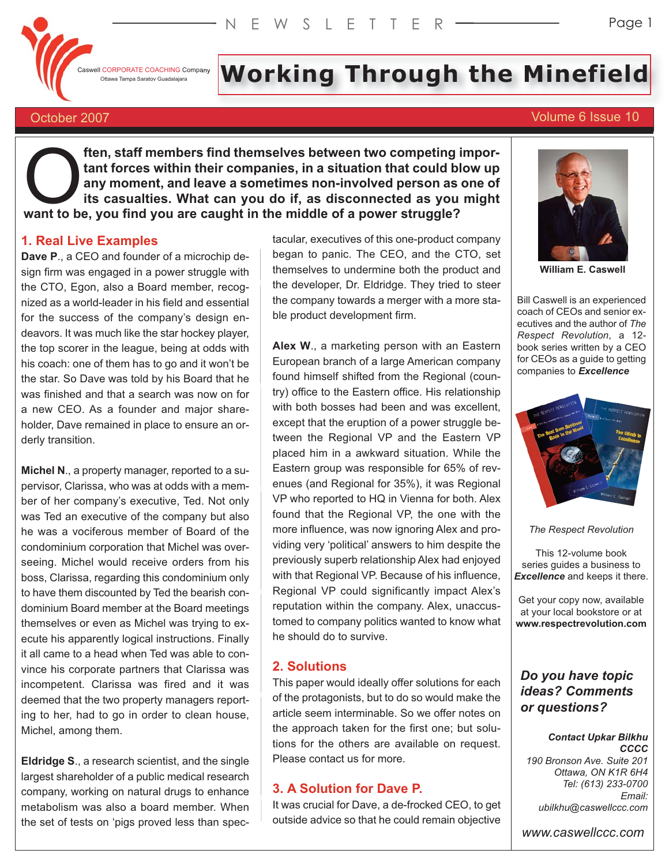Caswell CORPORATE COACHING Company

# I CORPORATE COACHING Company **Working Report of the Minefield**

# October 2007 Volume 6 Issue 10

**ften, staff members find themselves between two competing important forces within their companies, in a situation that could blow up any moment, and leave a sometimes non-involved person as one of its casualties. What can you do if, as disconnected as you might Frame Solution Starf members find themselves between two competing in that forces within their companies, in a situation that could blany moment, and leave a sometimes non-involved person as its casualties. What can you d** 

# **1. Real Live Examples**

**Dave P**., a CEO and founder of a microchip design firm was engaged in a power struggle with the CTO, Egon, also a Board member, recognized as a world-leader in his field and essential for the success of the company's design endeavors. It was much like the star hockey player, the top scorer in the league, being at odds with his coach: one of them has to go and it won't be the star. So Dave was told by his Board that he was finished and that a search was now on for a new CEO. As a founder and major shareholder, Dave remained in place to ensure an orderly transition.

**Michel N**., a property manager, reported to a supervisor, Clarissa, who was at odds with a member of her company's executive, Ted. Not only was Ted an executive of the company but also he was a vociferous member of Board of the condominium corporation that Michel was overseeing. Michel would receive orders from his boss, Clarissa, regarding this condominium only to have them discounted by Ted the bearish condominium Board member at the Board meetings themselves or even as Michel was trying to execute his apparently logical instructions. Finally it all came to a head when Ted was able to convince his corporate partners that Clarissa was incompetent. Clarissa was fired and it was deemed that the two property managers reporting to her, had to go in order to clean house, Michel, among them.

**Eldridge S**., a research scientist, and the single largest shareholder of a public medical research company, working on natural drugs to enhance metabolism was also a board member. When the set of tests on 'pigs proved less than spectacular, executives of this one-product company began to panic. The CEO, and the CTO, set themselves to undermine both the product and the developer, Dr. Eldridge. They tried to steer the company towards a merger with a more stable product development firm.

**Alex W**., a marketing person with an Eastern European branch of a large American company found himself shifted from the Regional (country) office to the Eastern office. His relationship with both bosses had been and was excellent, except that the eruption of a power struggle between the Regional VP and the Eastern VP placed him in a awkward situation. While the Eastern group was responsible for 65% of revenues (and Regional for 35%), it was Regional VP who reported to HQ in Vienna for both. Alex found that the Regional VP, the one with the more influence, was now ignoring Alex and providing very 'political' answers to him despite the previously superb relationship Alex had enjoyed with that Regional VP. Because of his influence, Regional VP could significantly impact Alex's reputation within the company. Alex, unaccustomed to company politics wanted to know what he should do to survive.

# **2. Solutions**

This paper would ideally offer solutions for each of the protagonists, but to do so would make the article seem interminable. So we offer notes on the approach taken for the first one; but solutions for the others are available on request. Please contact us for more.

# **3. A Solution for Dave P.**

It was crucial for Dave, a de-frocked CEO, to get outside advice so that he could remain objective



**William E. Caswell**

Bill Caswell is an experienced coach of CEOs and senior executives and the author of *The Respect Revolution*, a 12 book series written by a CEO for CEOs as a guide to getting companies to *Excellence*



*The Respect Revolution*

This 12-volume book series guides a business to *Excellence* and keeps it there.

Get your copy now, available at your local bookstore or at **www.respectrevolution.com**

# *Do you have topic ideas? Comments or questions?*

#### *Contact Upkar Bilkhu CCCC*

*190 Bronson Ave. Suite 201* Tel: (613) 233-0700 Email: ubilkhu@caswellccc.com

www.caswellccc.com *www.caswellccc.com*

*ubilkhu@caswellccc.com*